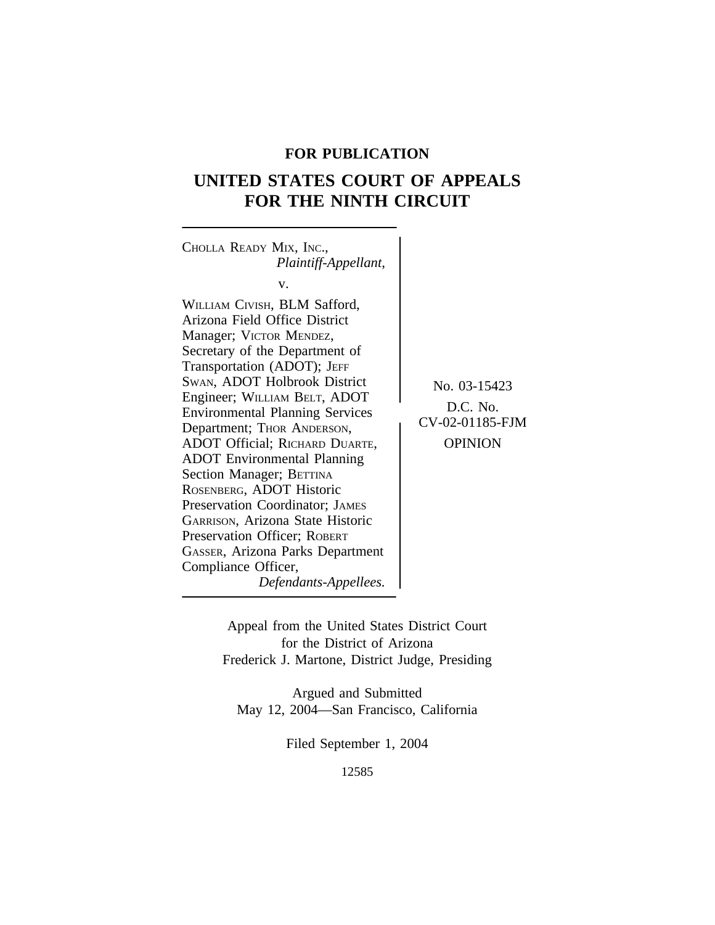# **FOR PUBLICATION**

# **UNITED STATES COURT OF APPEALS FOR THE NINTH CIRCUIT**

<sup>C</sup>HOLLA READY MIX, INC., *Plaintiff-Appellant,* v. WILLIAM CIVISH, BLM Safford, Arizona Field Office District Manager; VICTOR MENDEZ, Secretary of the Department of Transportation (ADOT); JEFF SWAN, ADOT Holbrook District  $N_0$ , 03-15423 Engineer; WILLIAM BELT, ADOT Engineer, WIEEKIN BELT, ADOT<br>Environmental Planning Services Department; THOR ANDERSON, CV-02-01185-FJM ADOT Official; RICHARD DUARTE, | OPINION ADOT Environmental Planning Section Manager; BETTINA ROSENBERG, ADOT Historic Preservation Coordinator; JAMES GARRISON, Arizona State Historic Preservation Officer; ROBERT GASSER, Arizona Parks Department Compliance Officer, *Defendants-Appellees.*

> Appeal from the United States District Court for the District of Arizona Frederick J. Martone, District Judge, Presiding

Argued and Submitted May 12, 2004—San Francisco, California

Filed September 1, 2004

12585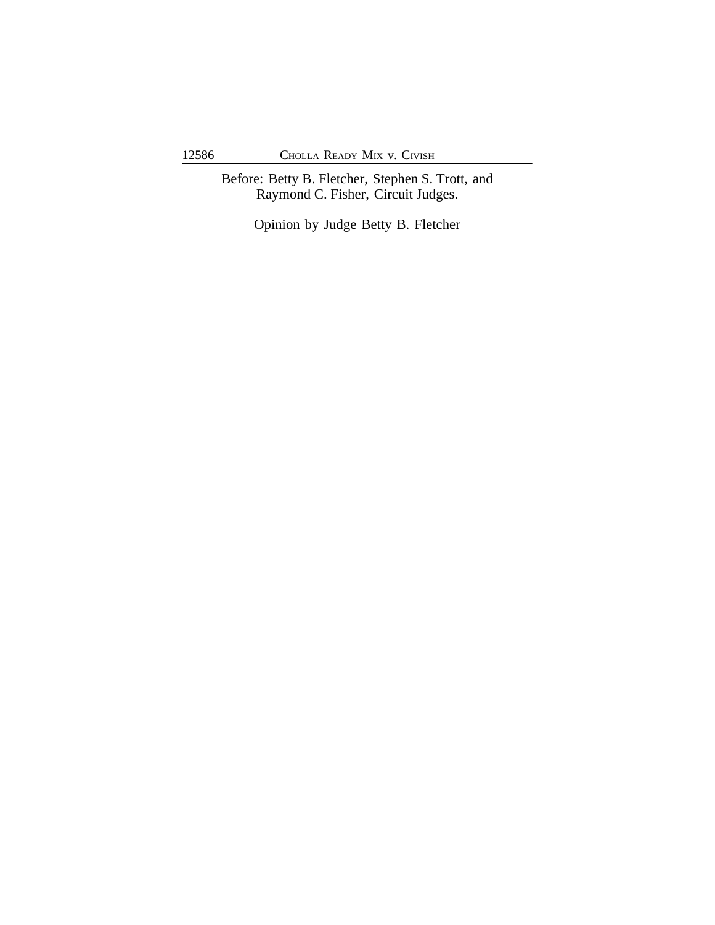Before: Betty B. Fletcher, Stephen S. Trott, and Raymond C. Fisher, Circuit Judges.

Opinion by Judge Betty B. Fletcher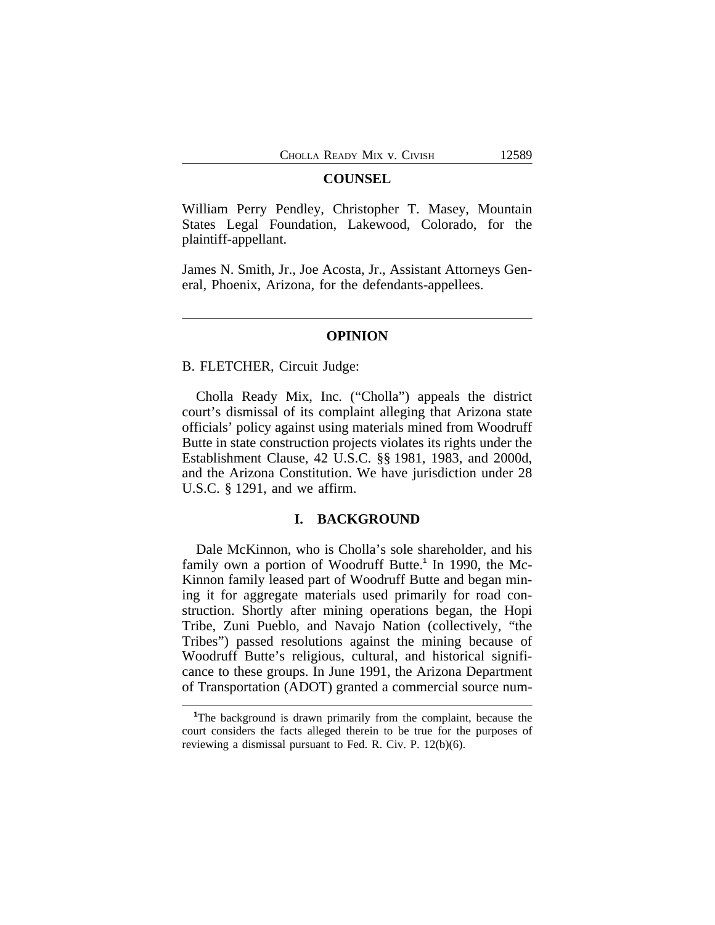## **COUNSEL**

William Perry Pendley, Christopher T. Masey, Mountain States Legal Foundation, Lakewood, Colorado, for the plaintiff-appellant.

James N. Smith, Jr., Joe Acosta, Jr., Assistant Attorneys General, Phoenix, Arizona, for the defendants-appellees.

## **OPINION**

#### B. FLETCHER, Circuit Judge:

Cholla Ready Mix, Inc. ("Cholla") appeals the district court's dismissal of its complaint alleging that Arizona state officials' policy against using materials mined from Woodruff Butte in state construction projects violates its rights under the Establishment Clause, 42 U.S.C. §§ 1981, 1983, and 2000d, and the Arizona Constitution. We have jurisdiction under 28 U.S.C. § 1291, and we affirm.

# **I. BACKGROUND**

Dale McKinnon, who is Cholla's sole shareholder, and his family own a portion of Woodruff Butte.<sup>1</sup> In 1990, the Mc-Kinnon family leased part of Woodruff Butte and began mining it for aggregate materials used primarily for road construction. Shortly after mining operations began, the Hopi Tribe, Zuni Pueblo, and Navajo Nation (collectively, "the Tribes") passed resolutions against the mining because of Woodruff Butte's religious, cultural, and historical significance to these groups. In June 1991, the Arizona Department of Transportation (ADOT) granted a commercial source num-

**<sup>1</sup>**The background is drawn primarily from the complaint, because the court considers the facts alleged therein to be true for the purposes of reviewing a dismissal pursuant to Fed. R. Civ. P. 12(b)(6).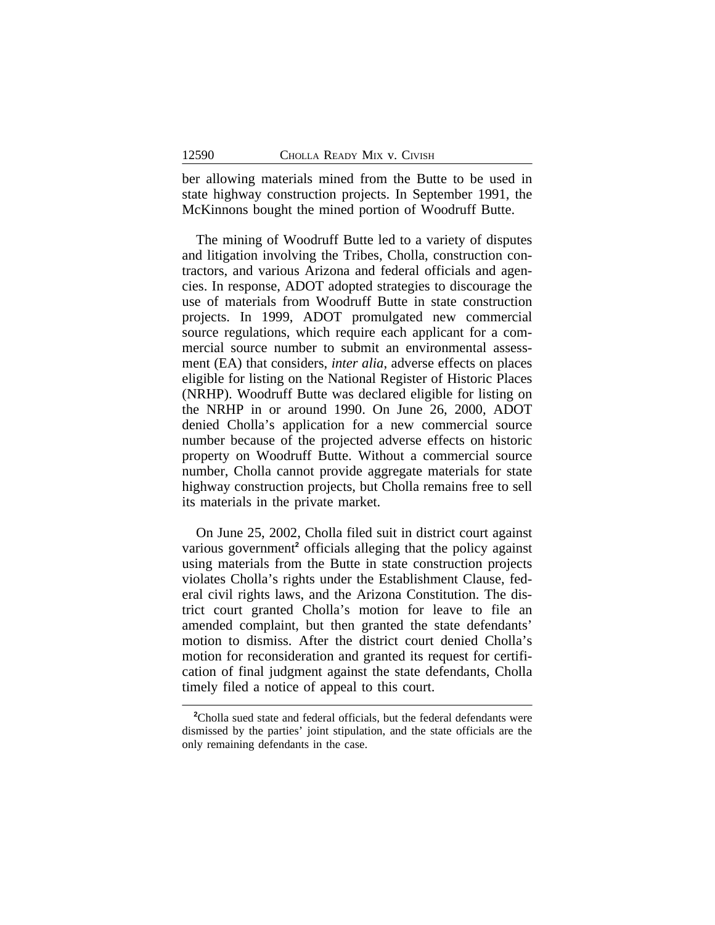ber allowing materials mined from the Butte to be used in state highway construction projects. In September 1991, the McKinnons bought the mined portion of Woodruff Butte.

The mining of Woodruff Butte led to a variety of disputes and litigation involving the Tribes, Cholla, construction contractors, and various Arizona and federal officials and agencies. In response, ADOT adopted strategies to discourage the use of materials from Woodruff Butte in state construction projects. In 1999, ADOT promulgated new commercial source regulations, which require each applicant for a commercial source number to submit an environmental assessment (EA) that considers, *inter alia*, adverse effects on places eligible for listing on the National Register of Historic Places (NRHP). Woodruff Butte was declared eligible for listing on the NRHP in or around 1990. On June 26, 2000, ADOT denied Cholla's application for a new commercial source number because of the projected adverse effects on historic property on Woodruff Butte. Without a commercial source number, Cholla cannot provide aggregate materials for state highway construction projects, but Cholla remains free to sell its materials in the private market.

On June 25, 2002, Cholla filed suit in district court against various government<sup>2</sup> officials alleging that the policy against using materials from the Butte in state construction projects violates Cholla's rights under the Establishment Clause, federal civil rights laws, and the Arizona Constitution. The district court granted Cholla's motion for leave to file an amended complaint, but then granted the state defendants' motion to dismiss. After the district court denied Cholla's motion for reconsideration and granted its request for certification of final judgment against the state defendants, Cholla timely filed a notice of appeal to this court.

<sup>&</sup>lt;sup>2</sup>Cholla sued state and federal officials, but the federal defendants were dismissed by the parties' joint stipulation, and the state officials are the only remaining defendants in the case.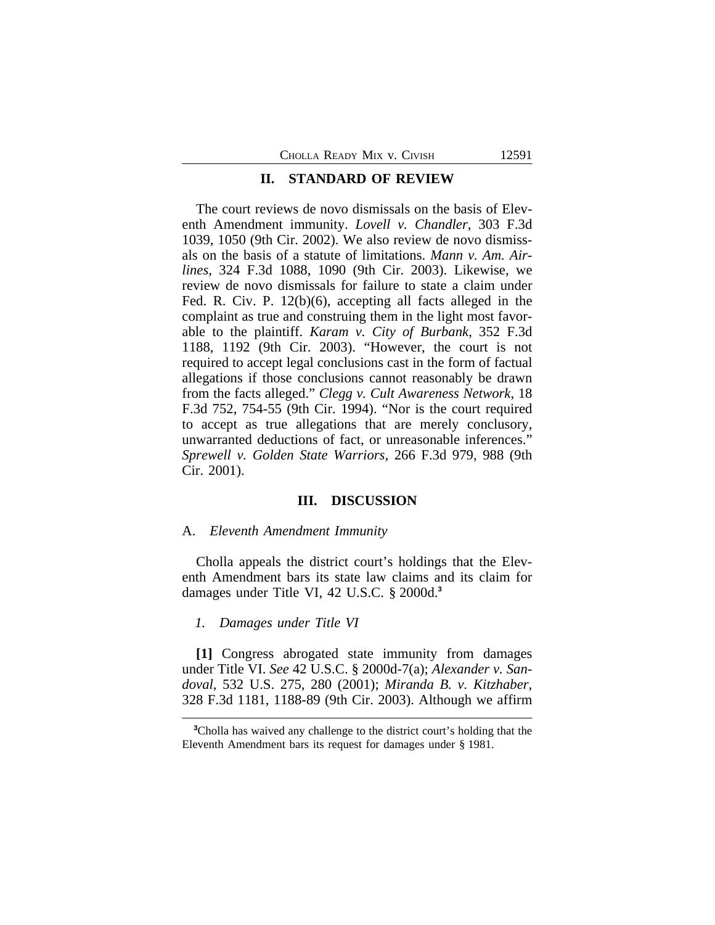## **II. STANDARD OF REVIEW**

The court reviews de novo dismissals on the basis of Eleventh Amendment immunity. *Lovell v. Chandler*, 303 F.3d 1039, 1050 (9th Cir. 2002). We also review de novo dismissals on the basis of a statute of limitations. *Mann v. Am. Airlines*, 324 F.3d 1088, 1090 (9th Cir. 2003). Likewise, we review de novo dismissals for failure to state a claim under Fed. R. Civ. P. 12(b)(6), accepting all facts alleged in the complaint as true and construing them in the light most favorable to the plaintiff. *Karam v. City of Burbank*, 352 F.3d 1188, 1192 (9th Cir. 2003). "However, the court is not required to accept legal conclusions cast in the form of factual allegations if those conclusions cannot reasonably be drawn from the facts alleged." *Clegg v. Cult Awareness Network*, 18 F.3d 752, 754-55 (9th Cir. 1994). "Nor is the court required to accept as true allegations that are merely conclusory, unwarranted deductions of fact, or unreasonable inferences." *Sprewell v. Golden State Warriors*, 266 F.3d 979, 988 (9th Cir. 2001).

## **III. DISCUSSION**

#### A. *Eleventh Amendment Immunity*

Cholla appeals the district court's holdings that the Eleventh Amendment bars its state law claims and its claim for damages under Title VI, 42 U.S.C. § 2000d.**<sup>3</sup>**

# *1. Damages under Title VI*

**[1]** Congress abrogated state immunity from damages under Title VI. *See* 42 U.S.C. § 2000d-7(a); *Alexander v. Sandoval*, 532 U.S. 275, 280 (2001); *Miranda B. v. Kitzhaber*, 328 F.3d 1181, 1188-89 (9th Cir. 2003). Although we affirm

**<sup>3</sup>**Cholla has waived any challenge to the district court's holding that the Eleventh Amendment bars its request for damages under § 1981.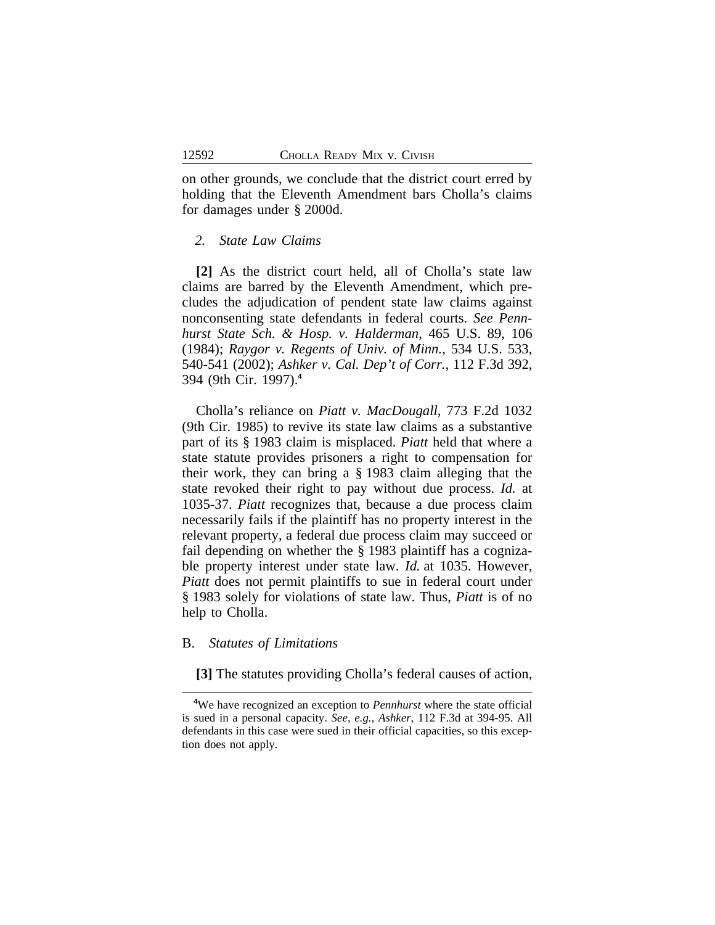on other grounds, we conclude that the district court erred by holding that the Eleventh Amendment bars Cholla's claims for damages under § 2000d.

## *2. State Law Claims*

**[2]** As the district court held, all of Cholla's state law claims are barred by the Eleventh Amendment, which precludes the adjudication of pendent state law claims against nonconsenting state defendants in federal courts. *See Pennhurst State Sch. & Hosp. v. Halderman*, 465 U.S. 89, 106 (1984); *Raygor v. Regents of Univ. of Minn.*, 534 U.S. 533, 540-541 (2002); *Ashker v. Cal. Dep't of Corr.*, 112 F.3d 392, 394 (9th Cir. 1997).**<sup>4</sup>**

Cholla's reliance on *Piatt v. MacDougall*, 773 F.2d 1032 (9th Cir. 1985) to revive its state law claims as a substantive part of its § 1983 claim is misplaced. *Piatt* held that where a state statute provides prisoners a right to compensation for their work, they can bring a § 1983 claim alleging that the state revoked their right to pay without due process. *Id.* at 1035-37. *Piatt* recognizes that, because a due process claim necessarily fails if the plaintiff has no property interest in the relevant property, a federal due process claim may succeed or fail depending on whether the § 1983 plaintiff has a cognizable property interest under state law. *Id.* at 1035. However, *Piatt* does not permit plaintiffs to sue in federal court under § 1983 solely for violations of state law. Thus, *Piatt* is of no help to Cholla.

## B. *Statutes of Limitations*

**[3]** The statutes providing Cholla's federal causes of action,

**<sup>4</sup>**We have recognized an exception to *Pennhurst* where the state official is sued in a personal capacity. *See, e.g.*, *Ashker*, 112 F.3d at 394-95. All defendants in this case were sued in their official capacities, so this exception does not apply.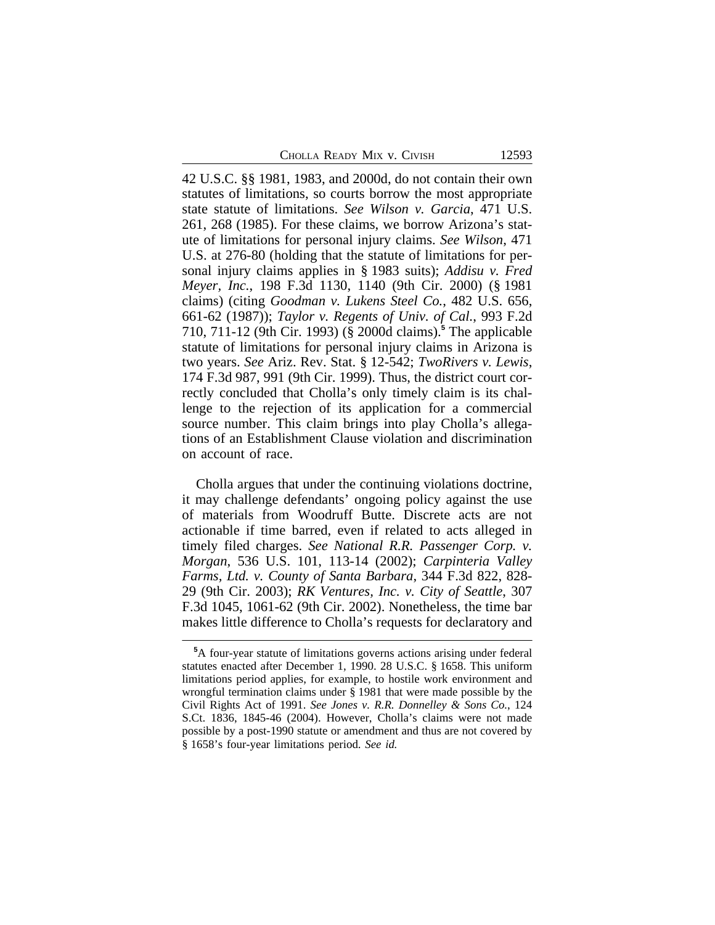42 U.S.C. §§ 1981, 1983, and 2000d, do not contain their own statutes of limitations, so courts borrow the most appropriate state statute of limitations. *See Wilson v. Garcia*, 471 U.S. 261, 268 (1985). For these claims, we borrow Arizona's statute of limitations for personal injury claims. *See Wilson*, 471 U.S. at 276-80 (holding that the statute of limitations for personal injury claims applies in § 1983 suits); *Addisu v. Fred Meyer, Inc.*, 198 F.3d 1130, 1140 (9th Cir. 2000) (§ 1981 claims) (citing *Goodman v. Lukens Steel Co.*, 482 U.S. 656, 661-62 (1987)); *Taylor v. Regents of Univ. of Cal.*, 993 F.2d 710, 711-12 (9th Cir. 1993) (§ 2000d claims).**<sup>5</sup>** The applicable statute of limitations for personal injury claims in Arizona is two years. *See* Ariz. Rev. Stat. § 12-542; *TwoRivers v. Lewis*, 174 F.3d 987, 991 (9th Cir. 1999). Thus, the district court correctly concluded that Cholla's only timely claim is its challenge to the rejection of its application for a commercial source number. This claim brings into play Cholla's allegations of an Establishment Clause violation and discrimination on account of race.

Cholla argues that under the continuing violations doctrine, it may challenge defendants' ongoing policy against the use of materials from Woodruff Butte. Discrete acts are not actionable if time barred, even if related to acts alleged in timely filed charges. *See National R.R. Passenger Corp. v. Morgan*, 536 U.S. 101, 113-14 (2002); *Carpinteria Valley Farms, Ltd. v. County of Santa Barbara*, 344 F.3d 822, 828- 29 (9th Cir. 2003); *RK Ventures, Inc. v. City of Seattle*, 307 F.3d 1045, 1061-62 (9th Cir. 2002). Nonetheless, the time bar makes little difference to Cholla's requests for declaratory and

**<sup>5</sup>**A four-year statute of limitations governs actions arising under federal statutes enacted after December 1, 1990. 28 U.S.C. § 1658. This uniform limitations period applies, for example, to hostile work environment and wrongful termination claims under § 1981 that were made possible by the Civil Rights Act of 1991. *See Jones v. R.R. Donnelley & Sons Co.*, 124 S.Ct. 1836, 1845-46 (2004). However, Cholla's claims were not made possible by a post-1990 statute or amendment and thus are not covered by § 1658's four-year limitations period. *See id.*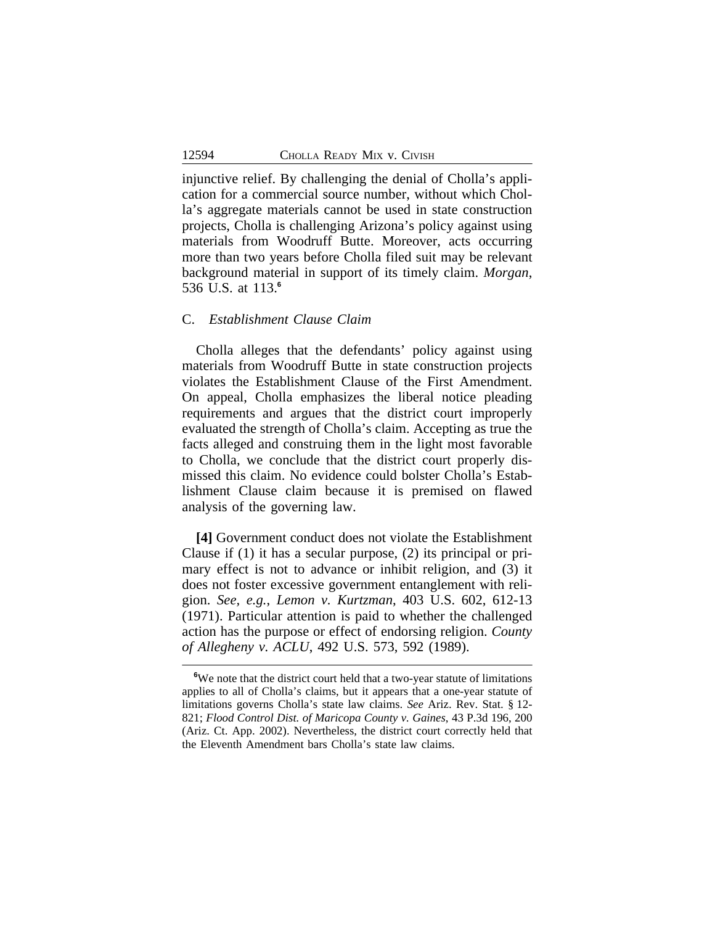injunctive relief. By challenging the denial of Cholla's application for a commercial source number, without which Cholla's aggregate materials cannot be used in state construction projects, Cholla is challenging Arizona's policy against using materials from Woodruff Butte. Moreover, acts occurring more than two years before Cholla filed suit may be relevant background material in support of its timely claim. *Morgan*, 536 U.S. at 113.**<sup>6</sup>**

# C. *Establishment Clause Claim*

Cholla alleges that the defendants' policy against using materials from Woodruff Butte in state construction projects violates the Establishment Clause of the First Amendment. On appeal, Cholla emphasizes the liberal notice pleading requirements and argues that the district court improperly evaluated the strength of Cholla's claim. Accepting as true the facts alleged and construing them in the light most favorable to Cholla, we conclude that the district court properly dismissed this claim. No evidence could bolster Cholla's Establishment Clause claim because it is premised on flawed analysis of the governing law.

**[4]** Government conduct does not violate the Establishment Clause if (1) it has a secular purpose, (2) its principal or primary effect is not to advance or inhibit religion, and (3) it does not foster excessive government entanglement with religion. *See, e.g.*, *Lemon v. Kurtzman*, 403 U.S. 602, 612-13 (1971). Particular attention is paid to whether the challenged action has the purpose or effect of endorsing religion. *County of Allegheny v. ACLU*, 492 U.S. 573, 592 (1989).

**<sup>6</sup>**We note that the district court held that a two-year statute of limitations applies to all of Cholla's claims, but it appears that a one-year statute of limitations governs Cholla's state law claims. *See* Ariz. Rev. Stat. § 12- 821; *Flood Control Dist. of Maricopa County v. Gaines*, 43 P.3d 196, 200 (Ariz. Ct. App. 2002). Nevertheless, the district court correctly held that the Eleventh Amendment bars Cholla's state law claims.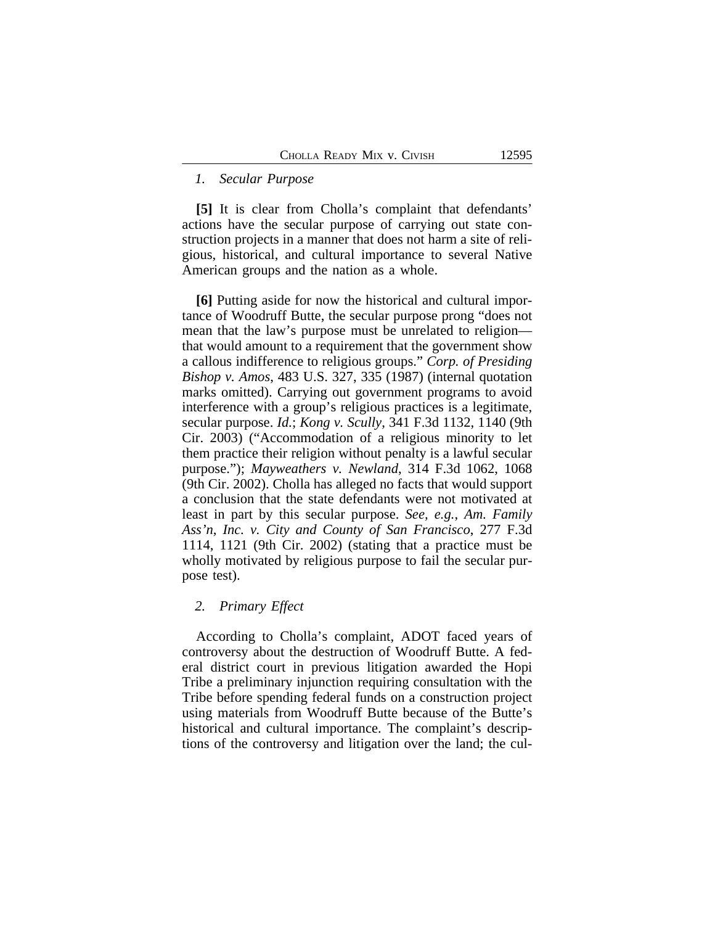## *1. Secular Purpose*

**[5]** It is clear from Cholla's complaint that defendants' actions have the secular purpose of carrying out state construction projects in a manner that does not harm a site of religious, historical, and cultural importance to several Native American groups and the nation as a whole.

**[6]** Putting aside for now the historical and cultural importance of Woodruff Butte, the secular purpose prong "does not mean that the law's purpose must be unrelated to religion that would amount to a requirement that the government show a callous indifference to religious groups." *Corp. of Presiding Bishop v. Amos*, 483 U.S. 327, 335 (1987) (internal quotation marks omitted). Carrying out government programs to avoid interference with a group's religious practices is a legitimate, secular purpose. *Id.*; *Kong v. Scully*, 341 F.3d 1132, 1140 (9th Cir. 2003) ("Accommodation of a religious minority to let them practice their religion without penalty is a lawful secular purpose."); *Mayweathers v. Newland*, 314 F.3d 1062, 1068 (9th Cir. 2002). Cholla has alleged no facts that would support a conclusion that the state defendants were not motivated at least in part by this secular purpose. *See, e.g.*, *Am. Family Ass'n, Inc. v. City and County of San Francisco*, 277 F.3d 1114, 1121 (9th Cir. 2002) (stating that a practice must be wholly motivated by religious purpose to fail the secular purpose test).

## *2. Primary Effect*

According to Cholla's complaint, ADOT faced years of controversy about the destruction of Woodruff Butte. A federal district court in previous litigation awarded the Hopi Tribe a preliminary injunction requiring consultation with the Tribe before spending federal funds on a construction project using materials from Woodruff Butte because of the Butte's historical and cultural importance. The complaint's descriptions of the controversy and litigation over the land; the cul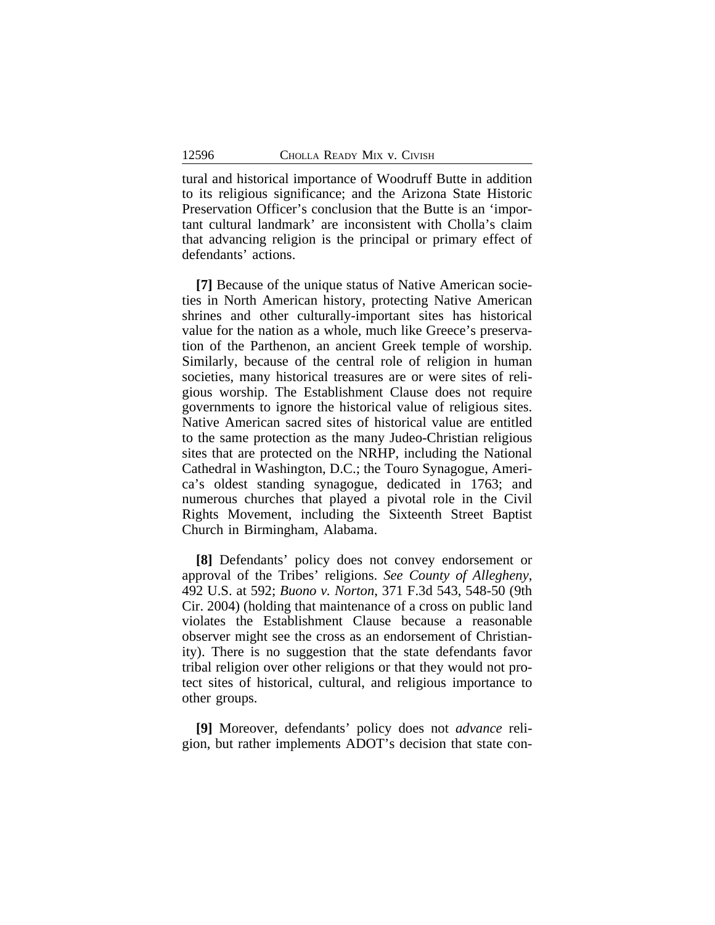tural and historical importance of Woodruff Butte in addition to its religious significance; and the Arizona State Historic Preservation Officer's conclusion that the Butte is an 'important cultural landmark' are inconsistent with Cholla's claim that advancing religion is the principal or primary effect of defendants' actions.

**[7]** Because of the unique status of Native American societies in North American history, protecting Native American shrines and other culturally-important sites has historical value for the nation as a whole, much like Greece's preservation of the Parthenon, an ancient Greek temple of worship. Similarly, because of the central role of religion in human societies, many historical treasures are or were sites of religious worship. The Establishment Clause does not require governments to ignore the historical value of religious sites. Native American sacred sites of historical value are entitled to the same protection as the many Judeo-Christian religious sites that are protected on the NRHP, including the National Cathedral in Washington, D.C.; the Touro Synagogue, America's oldest standing synagogue, dedicated in 1763; and numerous churches that played a pivotal role in the Civil Rights Movement, including the Sixteenth Street Baptist Church in Birmingham, Alabama.

**[8]** Defendants' policy does not convey endorsement or approval of the Tribes' religions. *See County of Allegheny*, 492 U.S. at 592; *Buono v. Norton*, 371 F.3d 543, 548-50 (9th Cir. 2004) (holding that maintenance of a cross on public land violates the Establishment Clause because a reasonable observer might see the cross as an endorsement of Christianity). There is no suggestion that the state defendants favor tribal religion over other religions or that they would not protect sites of historical, cultural, and religious importance to other groups.

**[9]** Moreover, defendants' policy does not *advance* religion, but rather implements ADOT's decision that state con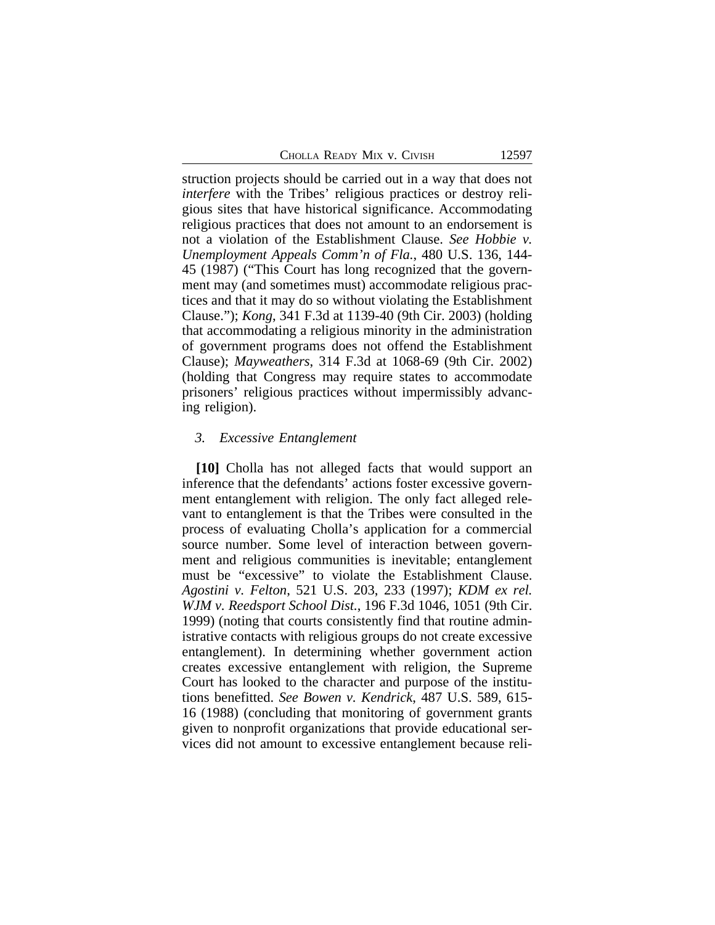struction projects should be carried out in a way that does not *interfere* with the Tribes' religious practices or destroy religious sites that have historical significance. Accommodating religious practices that does not amount to an endorsement is not a violation of the Establishment Clause. *See Hobbie v. Unemployment Appeals Comm'n of Fla.*, 480 U.S. 136, 144- 45 (1987) ("This Court has long recognized that the government may (and sometimes must) accommodate religious practices and that it may do so without violating the Establishment Clause."); *Kong*, 341 F.3d at 1139-40 (9th Cir. 2003) (holding that accommodating a religious minority in the administration of government programs does not offend the Establishment Clause); *Mayweathers*, 314 F.3d at 1068-69 (9th Cir. 2002) (holding that Congress may require states to accommodate prisoners' religious practices without impermissibly advancing religion).

#### *3. Excessive Entanglement*

**[10]** Cholla has not alleged facts that would support an inference that the defendants' actions foster excessive government entanglement with religion. The only fact alleged relevant to entanglement is that the Tribes were consulted in the process of evaluating Cholla's application for a commercial source number. Some level of interaction between government and religious communities is inevitable; entanglement must be "excessive" to violate the Establishment Clause. *Agostini v. Felton*, 521 U.S. 203, 233 (1997); *KDM ex rel. WJM v. Reedsport School Dist.*, 196 F.3d 1046, 1051 (9th Cir. 1999) (noting that courts consistently find that routine administrative contacts with religious groups do not create excessive entanglement). In determining whether government action creates excessive entanglement with religion, the Supreme Court has looked to the character and purpose of the institutions benefitted. *See Bowen v. Kendrick*, 487 U.S. 589, 615- 16 (1988) (concluding that monitoring of government grants given to nonprofit organizations that provide educational services did not amount to excessive entanglement because reli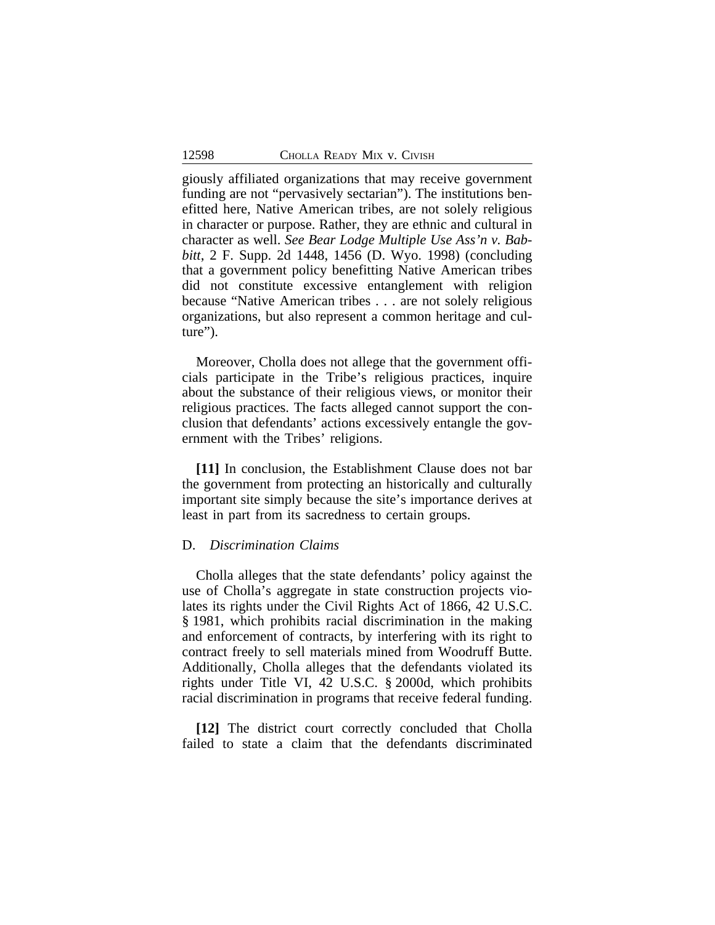giously affiliated organizations that may receive government funding are not "pervasively sectarian"). The institutions benefitted here, Native American tribes, are not solely religious in character or purpose. Rather, they are ethnic and cultural in character as well. *See Bear Lodge Multiple Use Ass'n v. Babbitt*, 2 F. Supp. 2d 1448, 1456 (D. Wyo. 1998) (concluding that a government policy benefitting Native American tribes did not constitute excessive entanglement with religion because "Native American tribes . . . are not solely religious organizations, but also represent a common heritage and culture").

Moreover, Cholla does not allege that the government officials participate in the Tribe's religious practices, inquire about the substance of their religious views, or monitor their religious practices. The facts alleged cannot support the conclusion that defendants' actions excessively entangle the government with the Tribes' religions.

**[11]** In conclusion, the Establishment Clause does not bar the government from protecting an historically and culturally important site simply because the site's importance derives at least in part from its sacredness to certain groups.

## D. *Discrimination Claims*

Cholla alleges that the state defendants' policy against the use of Cholla's aggregate in state construction projects violates its rights under the Civil Rights Act of 1866, 42 U.S.C. § 1981, which prohibits racial discrimination in the making and enforcement of contracts, by interfering with its right to contract freely to sell materials mined from Woodruff Butte. Additionally, Cholla alleges that the defendants violated its rights under Title VI, 42 U.S.C. § 2000d, which prohibits racial discrimination in programs that receive federal funding.

**[12]** The district court correctly concluded that Cholla failed to state a claim that the defendants discriminated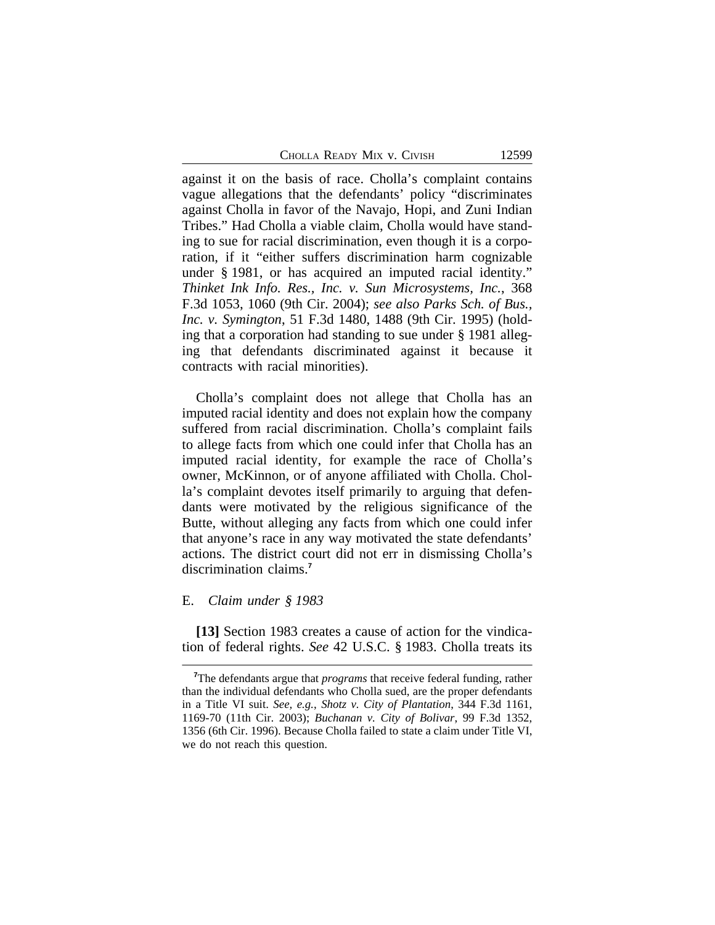CHOLLA READY MIX V. CIVISH 12599

against it on the basis of race. Cholla's complaint contains vague allegations that the defendants' policy "discriminates against Cholla in favor of the Navajo, Hopi, and Zuni Indian Tribes." Had Cholla a viable claim, Cholla would have standing to sue for racial discrimination, even though it is a corporation, if it "either suffers discrimination harm cognizable under § 1981, or has acquired an imputed racial identity." *Thinket Ink Info. Res., Inc. v. Sun Microsystems, Inc.*, 368 F.3d 1053, 1060 (9th Cir. 2004); *see also Parks Sch. of Bus., Inc. v. Symington*, 51 F.3d 1480, 1488 (9th Cir. 1995) (holding that a corporation had standing to sue under § 1981 alleging that defendants discriminated against it because it contracts with racial minorities).

Cholla's complaint does not allege that Cholla has an imputed racial identity and does not explain how the company suffered from racial discrimination. Cholla's complaint fails to allege facts from which one could infer that Cholla has an imputed racial identity, for example the race of Cholla's owner, McKinnon, or of anyone affiliated with Cholla. Cholla's complaint devotes itself primarily to arguing that defendants were motivated by the religious significance of the Butte, without alleging any facts from which one could infer that anyone's race in any way motivated the state defendants' actions. The district court did not err in dismissing Cholla's discrimination claims.**<sup>7</sup>**

#### E. *Claim under § 1983*

**[13]** Section 1983 creates a cause of action for the vindication of federal rights. *See* 42 U.S.C. § 1983. Cholla treats its

**<sup>7</sup>**The defendants argue that *programs* that receive federal funding, rather than the individual defendants who Cholla sued, are the proper defendants in a Title VI suit. *See, e.g.*, *Shotz v. City of Plantation*, 344 F.3d 1161, 1169-70 (11th Cir. 2003); *Buchanan v. City of Bolivar*, 99 F.3d 1352, 1356 (6th Cir. 1996). Because Cholla failed to state a claim under Title VI, we do not reach this question.